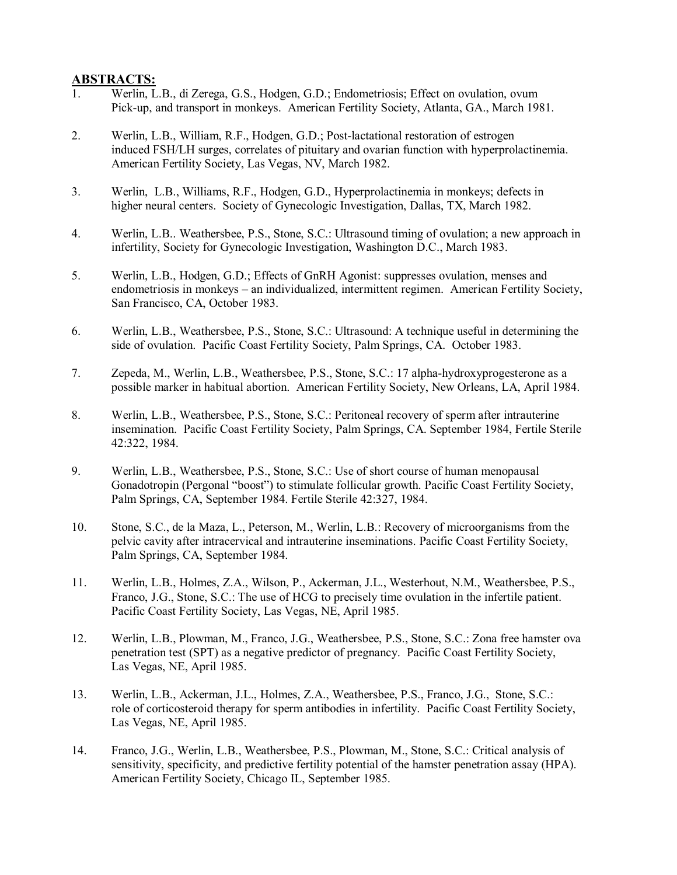## **ABSTRACTS:**

- 1. Werlin, L.B., di Zerega, G.S., Hodgen, G.D.; Endometriosis; Effect on ovulation, ovum Pick-up, and transport in monkeys. American Fertility Society, Atlanta, GA., March 1981.
- 2. Werlin, L.B., William, R.F., Hodgen, G.D.; Post-lactational restoration of estrogen induced FSH/LH surges, correlates of pituitary and ovarian function with hyperprolactinemia. American Fertility Society, Las Vegas, NV, March 1982.
- 3. Werlin, L.B., Williams, R.F., Hodgen, G.D., Hyperprolactinemia in monkeys; defects in higher neural centers. Society of Gynecologic Investigation, Dallas, TX, March 1982.
- 4. Werlin, L.B.. Weathersbee, P.S., Stone, S.C.: Ultrasound timing of ovulation; a new approach in infertility, Society for Gynecologic Investigation, Washington D.C., March 1983.
- 5. Werlin, L.B., Hodgen, G.D.; Effects of GnRH Agonist: suppresses ovulation, menses and endometriosis in monkeys – an individualized, intermittent regimen. American Fertility Society, San Francisco, CA, October 1983.
- 6. Werlin, L.B., Weathersbee, P.S., Stone, S.C.: Ultrasound: A technique useful in determining the side of ovulation. Pacific Coast Fertility Society, Palm Springs, CA. October 1983.
- 7. Zepeda, M., Werlin, L.B., Weathersbee, P.S., Stone, S.C.: 17 alpha-hydroxyprogesterone as a possible marker in habitual abortion. American Fertility Society, New Orleans, LA, April 1984.
- 8. Werlin, L.B., Weathersbee, P.S., Stone, S.C.: Peritoneal recovery of sperm after intrauterine insemination. Pacific Coast Fertility Society, Palm Springs, CA. September 1984, Fertile Sterile 42:322, 1984.
- 9. Werlin, L.B., Weathersbee, P.S., Stone, S.C.: Use of short course of human menopausal Gonadotropin (Pergonal "boost") to stimulate follicular growth. Pacific Coast Fertility Society, Palm Springs, CA, September 1984. Fertile Sterile 42:327, 1984.
- 10. Stone, S.C., de la Maza, L., Peterson, M., Werlin, L.B.: Recovery of microorganisms from the pelvic cavity after intracervical and intrauterine inseminations. Pacific Coast Fertility Society, Palm Springs, CA, September 1984.
- 11. Werlin, L.B., Holmes, Z.A., Wilson, P., Ackerman, J.L., Westerhout, N.M., Weathersbee, P.S., Franco, J.G., Stone, S.C.: The use of HCG to precisely time ovulation in the infertile patient. Pacific Coast Fertility Society, Las Vegas, NE, April 1985.
- 12. Werlin, L.B., Plowman, M., Franco, J.G., Weathersbee, P.S., Stone, S.C.: Zona free hamster ova penetration test (SPT) as a negative predictor of pregnancy. Pacific Coast Fertility Society, Las Vegas, NE, April 1985.
- 13. Werlin, L.B., Ackerman, J.L., Holmes, Z.A., Weathersbee, P.S., Franco, J.G., Stone, S.C.: role of corticosteroid therapy for sperm antibodies in infertility. Pacific Coast Fertility Society, Las Vegas, NE, April 1985.
- 14. Franco, J.G., Werlin, L.B., Weathersbee, P.S., Plowman, M., Stone, S.C.: Critical analysis of sensitivity, specificity, and predictive fertility potential of the hamster penetration assay (HPA). American Fertility Society, Chicago IL, September 1985.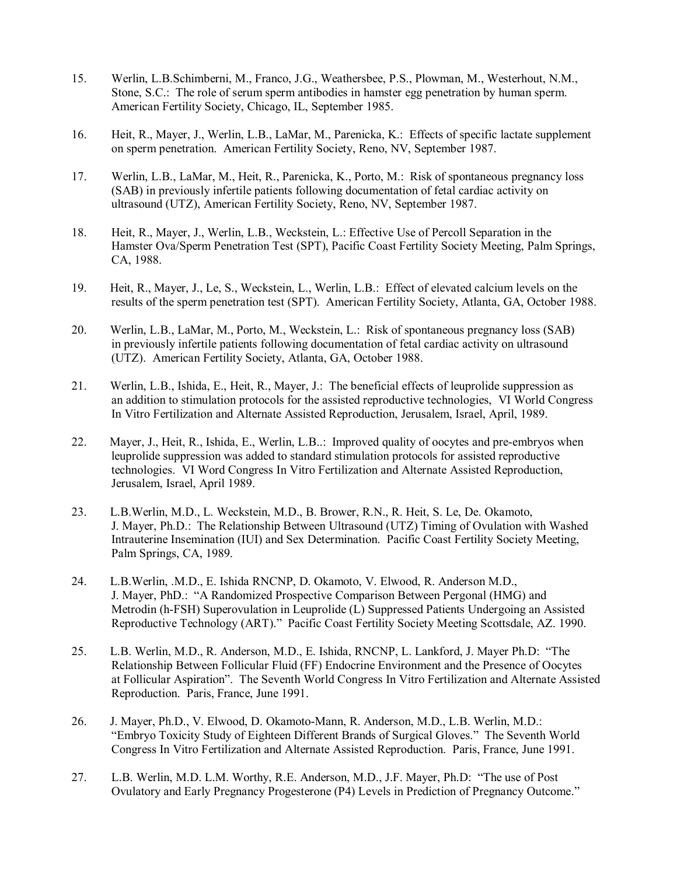- 15. Werlin, L.B.Schimberni, M., Franco, J.G., Weathersbee, P.S., Plowman, M., Westerhout, N.M., Stone, S.C.: The role of serum sperm antibodies in hamster egg penetration by human sperm. American Fertility Society, Chicago, IL, September 1985.
- 16. Heit, R., Mayer, J., Werlin, L.B., LaMar, M., Parenicka, K.: Effects of specific lactate supplement on sperm penetration. American Fertility Society, Reno, NV, September 1987.
- 17. Werlin, L.B., LaMar, M., Heit, R., Parenicka, K., Porto, M.: Risk of spontaneous pregnancy loss (SAB) in previously infertile patients following documentation of fetal cardiac activity on ultrasound (UTZ), American Fertility Society, Reno, NV, September 1987.
- 18. Heit, R., Mayer, J., Werlin, L.B., Weckstein, L.: Effective Use of Percoll Separation in the Hamster Ova/Sperm Penetration Test (SPT), Pacific Coast Fertility Society Meeting, Palm Springs, CA, 1988.
- 19. Heit, R., Mayer, J., Le, S., Weckstein, L., Werlin, L.B.: Effect of elevated calcium levels on the results of the sperm penetration test (SPT). American Fertility Society, Atlanta, GA, October 1988.
- 20. Werlin, L.B., LaMar, M., Porto, M., Weckstein, L.: Risk of spontaneous pregnancy loss (SAB) in previously infertile patients following documentation of fetal cardiac activity on ultrasound (UTZ). American Fertility Society, Atlanta, GA, October 1988.
- 21. Werlin, L.B., Ishida, E., Heit, R., Mayer, J.: The beneficial effects of leuprolide suppression as an addition to stimulation protocols for the assisted reproductive technologies, VI World Congress In Vitro Fertilization and Alternate Assisted Reproduction, Jerusalem, Israel, April, 1989.
- 22. Mayer, J., Heit, R., Ishida, E., Werlin, L.B..: Improved quality of oocytes and pre-embryos when leuprolide suppression was added to standard stimulation protocols for assisted reproductive technologies. VI Word Congress In Vitro Fertilization and Alternate Assisted Reproduction, Jerusalem, Israel, April 1989.
- 23. L.B.Werlin, M.D., L. Weckstein, M.D., B. Brower, R.N., R. Heit, S. Le, De. Okamoto, J. Mayer, Ph.D.: The Relationship Between Ultrasound (UTZ) Timing of Ovulation with Washed Intrauterine Insemination (IUI) and Sex Determination. Pacific Coast Fertility Society Meeting, Palm Springs, CA, 1989.
- 24. L.B.Werlin, .M.D., E. Ishida RNCNP, D. Okamoto, V. Elwood, R. Anderson M.D., J. Mayer, PhD.: "A Randomized Prospective Comparison Between Pergonal (HMG) and Metrodin (h-FSH) Superovulation in Leuprolide (L) Suppressed Patients Undergoing an Assisted Reproductive Technology (ART)." Pacific Coast Fertility Society Meeting Scottsdale, AZ. 1990.
- 25. L.B. Werlin, M.D., R. Anderson, M.D., E. Ishida, RNCNP, L. Lankford, J. Mayer Ph.D: "The Relationship Between Follicular Fluid (FF) Endocrine Environment and the Presence of Oocytes at Follicular Aspiration". The Seventh World Congress In Vitro Fertilization and Alternate Assisted Reproduction. Paris, France, June 1991.
- 26. J. Mayer, Ph.D., V. Elwood, D. Okamoto-Mann, R. Anderson, M.D., L.B. Werlin, M.D.: "Embryo Toxicity Study of Eighteen Different Brands of Surgical Gloves." The Seventh World Congress In Vitro Fertilization and Alternate Assisted Reproduction. Paris, France, June 1991.
- 27. L.B. Werlin, M.D. L.M. Worthy, R.E. Anderson, M.D., J.F. Mayer, Ph.D: "The use of Post Ovulatory and Early Pregnancy Progesterone (P4) Levels in Prediction of Pregnancy Outcome."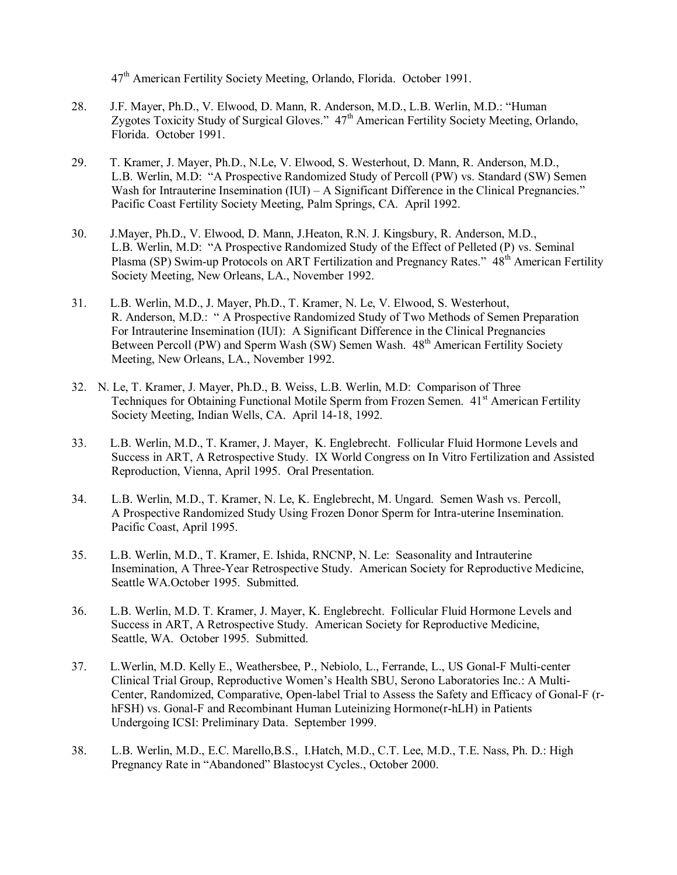47th American Fertility Society Meeting, Orlando, Florida. October 1991.

- 28. J.F. Mayer, Ph.D., V. Elwood, D. Mann, R. Anderson, M.D., L.B. Werlin, M.D.: "Human Zygotes Toxicity Study of Surgical Gloves."  $47<sup>th</sup>$  American Fertility Society Meeting, Orlando, Florida. October 1991.
- 29. T. Kramer, J. Mayer, Ph.D., N.Le, V. Elwood, S. Westerhout, D. Mann, R. Anderson, M.D., L.B. Werlin, M.D: "A Prospective Randomized Study of Percoll (PW) vs. Standard (SW) Semen Wash for Intrauterine Insemination  $(IU) - A$  Significant Difference in the Clinical Pregnancies." Pacific Coast Fertility Society Meeting, Palm Springs, CA. April 1992.
- 30. J.Mayer, Ph.D., V. Elwood, D. Mann, J.Heaton, R.N. J. Kingsbury, R. Anderson, M.D., L.B. Werlin, M.D: "A Prospective Randomized Study of the Effect of Pelleted (P) vs. Seminal Plasma (SP) Swim-up Protocols on ART Fertilization and Pregnancy Rates." 48<sup>th</sup> American Fertility Society Meeting, New Orleans, LA., November 1992.
- 31. L.B. Werlin, M.D., J. Mayer, Ph.D., T. Kramer, N. Le, V. Elwood, S. Westerhout, R. Anderson, M.D.: " A Prospective Randomized Study of Two Methods of Semen Preparation For Intrauterine Insemination (IUI): A Significant Difference in the Clinical Pregnancies Between Percoll (PW) and Sperm Wash (SW) Semen Wash. 48<sup>th</sup> American Fertility Society Meeting, New Orleans, LA., November 1992.
- 32. N. Le, T. Kramer, J. Mayer, Ph.D., B. Weiss, L.B. Werlin, M.D: Comparison of Three Techniques for Obtaining Functional Motile Sperm from Frozen Semen. 41<sup>st</sup> American Fertility Society Meeting, Indian Wells, CA. April 14-18, 1992.
- 33. L.B. Werlin, M.D., T. Kramer, J. Mayer, K. Englebrecht. Follicular Fluid Hormone Levels and Success in ART, A Retrospective Study. IX World Congress on In Vitro Fertilization and Assisted Reproduction, Vienna, April 1995. Oral Presentation.
- 34. L.B. Werlin, M.D., T. Kramer, N. Le, K. Englebrecht, M. Ungard. Semen Wash vs. Percoll, A Prospective Randomized Study Using Frozen Donor Sperm for Intra-uterine Insemination. Pacific Coast, April 1995.
- 35. L.B. Werlin, M.D., T. Kramer, E. Ishida, RNCNP, N. Le: Seasonality and Intrauterine Insemination, A Three-Year Retrospective Study. American Society for Reproductive Medicine, Seattle WA.October 1995. Submitted.
- 36. L.B. Werlin, M.D. T. Kramer, J. Mayer, K. Englebrecht. Follicular Fluid Hormone Levels and Success in ART, A Retrospective Study. American Society for Reproductive Medicine, Seattle, WA. October 1995. Submitted.
- 37. L.Werlin, M.D. Kelly E., Weathersbee, P., Nebiolo, L., Ferrande, L., US Gonal-F Multi-center Clinical Trial Group, Reproductive Women's Health SBU, Serono Laboratories Inc.: A Multi-Center, Randomized, Comparative, Open-label Trial to Assess the Safety and Efficacy of Gonal-F (rhFSH) vs. Gonal-F and Recombinant Human Luteinizing Hormone(r-hLH) in Patients Undergoing ICSI: Preliminary Data. September 1999.
- 38. L.B. Werlin, M.D., E.C. Marello,B.S., I.Hatch, M.D., C.T. Lee, M.D., T.E. Nass, Ph. D.: High Pregnancy Rate in "Abandoned" Blastocyst Cycles., October 2000.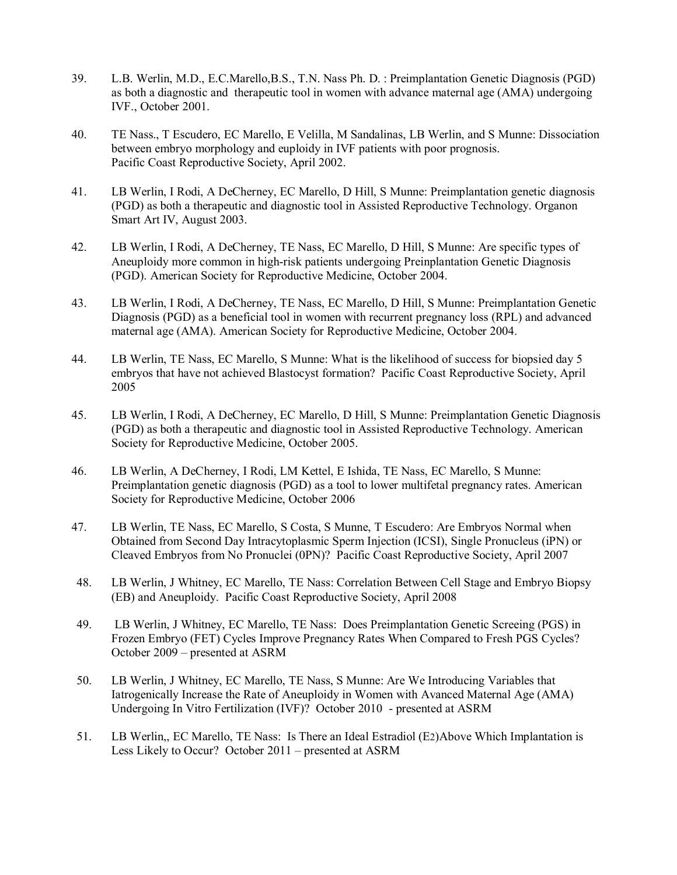- 39. L.B. Werlin, M.D., E.C.Marello,B.S., T.N. Nass Ph. D. : Preimplantation Genetic Diagnosis (PGD) as both a diagnostic and therapeutic tool in women with advance maternal age (AMA) undergoing IVF., October 2001.
- 40. TE Nass., T Escudero, EC Marello, E Velilla, M Sandalinas, LB Werlin, and S Munne: Dissociation between embryo morphology and euploidy in IVF patients with poor prognosis. Pacific Coast Reproductive Society, April 2002.
- 41. LB Werlin, I Rodi, A DeCherney, EC Marello, D Hill, S Munne: Preimplantation genetic diagnosis (PGD) as both a therapeutic and diagnostic tool in Assisted Reproductive Technology. Organon Smart Art IV, August 2003.
- 42. LB Werlin, I Rodi, A DeCherney, TE Nass, EC Marello, D Hill, S Munne: Are specific types of Aneuploidy more common in high-risk patients undergoing Preinplantation Genetic Diagnosis (PGD). American Society for Reproductive Medicine, October 2004.
- 43. LB Werlin, I Rodi, A DeCherney, TE Nass, EC Marello, D Hill, S Munne: Preimplantation Genetic Diagnosis (PGD) as a beneficial tool in women with recurrent pregnancy loss (RPL) and advanced maternal age (AMA). American Society for Reproductive Medicine, October 2004.
- 44. LB Werlin, TE Nass, EC Marello, S Munne: What is the likelihood of success for biopsied day 5 embryos that have not achieved Blastocyst formation? Pacific Coast Reproductive Society, April 2005
- 45. LB Werlin, I Rodi, A DeCherney, EC Marello, D Hill, S Munne: Preimplantation Genetic Diagnosis (PGD) as both a therapeutic and diagnostic tool in Assisted Reproductive Technology. American Society for Reproductive Medicine, October 2005.
- 46. LB Werlin, A DeCherney, I Rodi, LM Kettel, E Ishida, TE Nass, EC Marello, S Munne: Preimplantation genetic diagnosis (PGD) as a tool to lower multifetal pregnancy rates. American Society for Reproductive Medicine, October 2006
- 47. LB Werlin, TE Nass, EC Marello, S Costa, S Munne, T Escudero: Are Embryos Normal when Obtained from Second Day Intracytoplasmic Sperm Injection (ICSI), Single Pronucleus (iPN) or Cleaved Embryos from No Pronuclei (0PN)? Pacific Coast Reproductive Society, April 2007
- 48. LB Werlin, J Whitney, EC Marello, TE Nass: Correlation Between Cell Stage and Embryo Biopsy (EB) and Aneuploidy. Pacific Coast Reproductive Society, April 2008
- 49. LB Werlin, J Whitney, EC Marello, TE Nass: Does Preimplantation Genetic Screeing (PGS) in Frozen Embryo (FET) Cycles Improve Pregnancy Rates When Compared to Fresh PGS Cycles? October 2009 – presented at ASRM
- 50. LB Werlin, J Whitney, EC Marello, TE Nass, S Munne: Are We Introducing Variables that Iatrogenically Increase the Rate of Aneuploidy in Women with Avanced Maternal Age (AMA) Undergoing In Vitro Fertilization (IVF)? October 2010 - presented at ASRM
- 51. LB Werlin,, EC Marello, TE Nass: Is There an Ideal Estradiol (E2)Above Which Implantation is Less Likely to Occur? October 2011 – presented at ASRM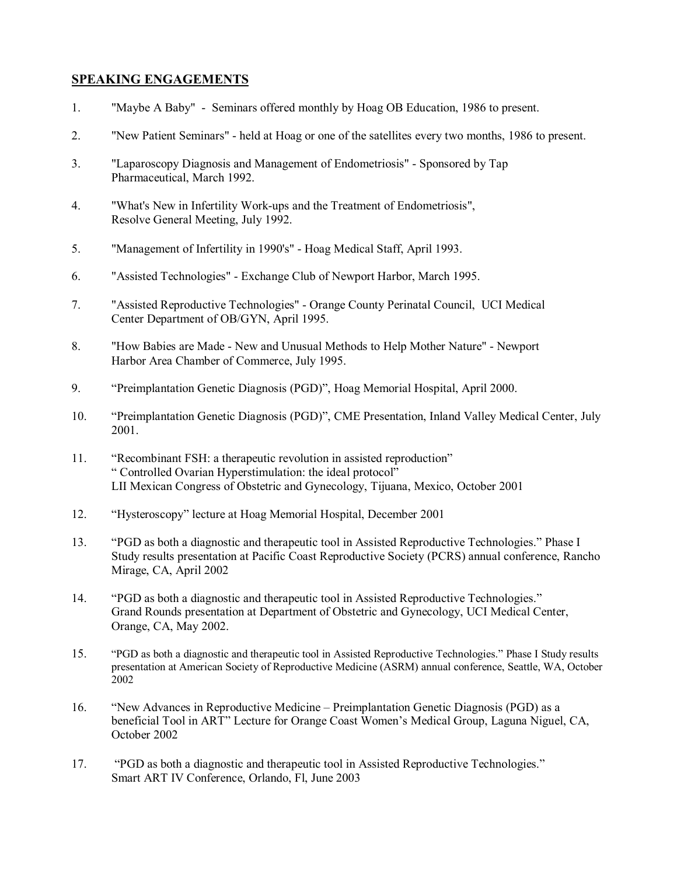## **SPEAKING ENGAGEMENTS**

- 1. "Maybe A Baby" Seminars offered monthly by Hoag OB Education, 1986 to present.
- 2. "New Patient Seminars" held at Hoag or one of the satellites every two months, 1986 to present.
- 3. "Laparoscopy Diagnosis and Management of Endometriosis" Sponsored by Tap Pharmaceutical, March 1992.
- 4. "What's New in Infertility Work-ups and the Treatment of Endometriosis", Resolve General Meeting, July 1992.
- 5. "Management of Infertility in 1990's" Hoag Medical Staff, April 1993.
- 6. "Assisted Technologies" Exchange Club of Newport Harbor, March 1995.
- 7. "Assisted Reproductive Technologies" Orange County Perinatal Council, UCI Medical Center Department of OB/GYN, April 1995.
- 8. "How Babies are Made New and Unusual Methods to Help Mother Nature" Newport Harbor Area Chamber of Commerce, July 1995.
- 9. "Preimplantation Genetic Diagnosis (PGD)", Hoag Memorial Hospital, April 2000.
- 10. "Preimplantation Genetic Diagnosis (PGD)", CME Presentation, Inland Valley Medical Center, July 2001.
- 11. "Recombinant FSH: a therapeutic revolution in assisted reproduction" " Controlled Ovarian Hyperstimulation: the ideal protocol" LII Mexican Congress of Obstetric and Gynecology, Tijuana, Mexico, October 2001
- 12. "Hysteroscopy" lecture at Hoag Memorial Hospital, December 2001
- 13. "PGD as both a diagnostic and therapeutic tool in Assisted Reproductive Technologies." Phase I Study results presentation at Pacific Coast Reproductive Society (PCRS) annual conference, Rancho Mirage, CA, April 2002
- 14. "PGD as both a diagnostic and therapeutic tool in Assisted Reproductive Technologies." Grand Rounds presentation at Department of Obstetric and Gynecology, UCI Medical Center, Orange, CA, May 2002.
- 15. "PGD as both a diagnostic and therapeutic tool in Assisted Reproductive Technologies." Phase I Study results presentation at American Society of Reproductive Medicine (ASRM) annual conference, Seattle, WA, October 2002
- 16. "New Advances in Reproductive Medicine Preimplantation Genetic Diagnosis (PGD) as a beneficial Tool in ART" Lecture for Orange Coast Women's Medical Group, Laguna Niguel, CA, October 2002
- 17. "PGD as both a diagnostic and therapeutic tool in Assisted Reproductive Technologies." Smart ART IV Conference, Orlando, Fl, June 2003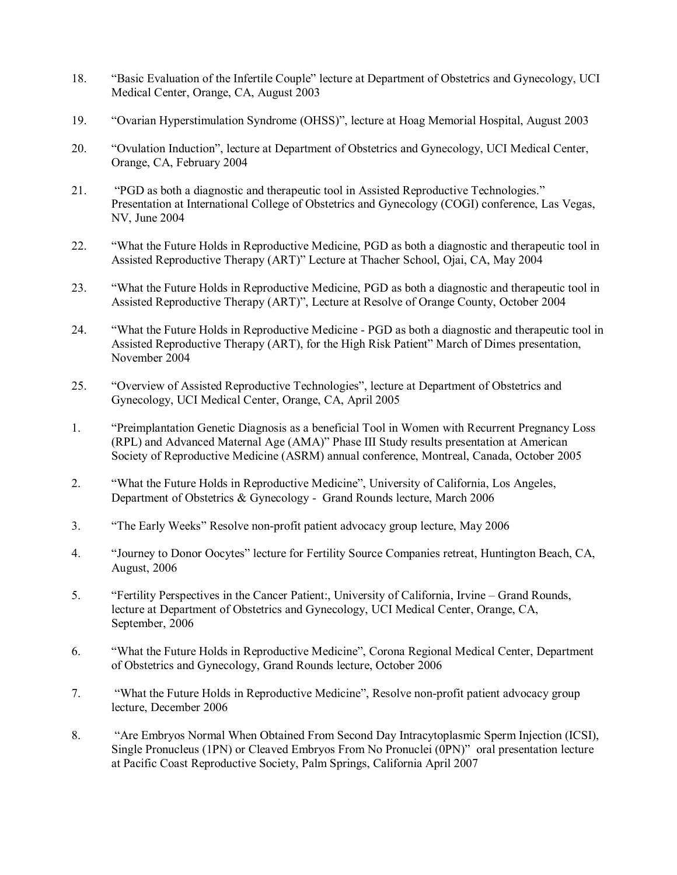- 18. "Basic Evaluation of the Infertile Couple" lecture at Department of Obstetrics and Gynecology, UCI Medical Center, Orange, CA, August 2003
- 19. "Ovarian Hyperstimulation Syndrome (OHSS)", lecture at Hoag Memorial Hospital, August 2003
- 20. "Ovulation Induction", lecture at Department of Obstetrics and Gynecology, UCI Medical Center, Orange, CA, February 2004
- 21. "PGD as both a diagnostic and therapeutic tool in Assisted Reproductive Technologies." Presentation at International College of Obstetrics and Gynecology (COGI) conference, Las Vegas, NV, June 2004
- 22. "What the Future Holds in Reproductive Medicine, PGD as both a diagnostic and therapeutic tool in Assisted Reproductive Therapy (ART)" Lecture at Thacher School, Ojai, CA, May 2004
- 23. "What the Future Holds in Reproductive Medicine, PGD as both a diagnostic and therapeutic tool in Assisted Reproductive Therapy (ART)", Lecture at Resolve of Orange County, October 2004
- 24. "What the Future Holds in Reproductive Medicine PGD as both a diagnostic and therapeutic tool in Assisted Reproductive Therapy (ART), for the High Risk Patient" March of Dimes presentation, November 2004
- 25. "Overview of Assisted Reproductive Technologies", lecture at Department of Obstetrics and Gynecology, UCI Medical Center, Orange, CA, April 2005
- 1. "Preimplantation Genetic Diagnosis as a beneficial Tool in Women with Recurrent Pregnancy Loss (RPL) and Advanced Maternal Age (AMA)" Phase III Study results presentation at American Society of Reproductive Medicine (ASRM) annual conference, Montreal, Canada, October 2005
- 2. "What the Future Holds in Reproductive Medicine", University of California, Los Angeles, Department of Obstetrics & Gynecology - Grand Rounds lecture, March 2006
- 3. "The Early Weeks" Resolve non-profit patient advocacy group lecture, May 2006
- 4. "Journey to Donor Oocytes" lecture for Fertility Source Companies retreat, Huntington Beach, CA, August, 2006
- 5. "Fertility Perspectives in the Cancer Patient:, University of California, Irvine Grand Rounds, lecture at Department of Obstetrics and Gynecology, UCI Medical Center, Orange, CA, September, 2006
- 6. "What the Future Holds in Reproductive Medicine", Corona Regional Medical Center, Department of Obstetrics and Gynecology, Grand Rounds lecture, October 2006
- 7. "What the Future Holds in Reproductive Medicine", Resolve non-profit patient advocacy group lecture, December 2006
- 8. "Are Embryos Normal When Obtained From Second Day Intracytoplasmic Sperm Injection (ICSI), Single Pronucleus (1PN) or Cleaved Embryos From No Pronuclei (0PN)" oral presentation lecture at Pacific Coast Reproductive Society, Palm Springs, California April 2007